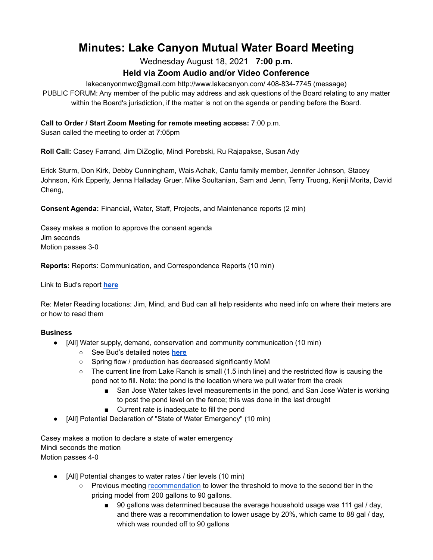# **Minutes: Lake Canyon Mutual Water Board Meeting**

Wednesday August 18, 2021 **7:00 p.m.**

# **Held via Zoom Audio and/or Video Conference**

lakecanyonmwc@gmail.com http://www.lakecanyon.com/ 408-834-7745 (message) PUBLIC FORUM: Any member of the public may address and ask questions of the Board relating to any matter within the Board's jurisdiction, if the matter is not on the agenda or pending before the Board.

# **Call to Order / Start Zoom Meeting for remote meeting access:** 7:00 p.m.

Susan called the meeting to order at 7:05pm

**Roll Call:** Casey Farrand, Jim DiZoglio, Mindi Porebski, Ru Rajapakse, Susan Ady

Erick Sturm, Don Kirk, Debby Cunningham, Wais Achak, Cantu family member, Jennifer Johnson, Stacey Johnson, Kirk Epperly, Jenna Halladay Gruer, Mike Soultanian, Sam and Jenn, Terry Truong, Kenji Morita, David Cheng,

**Consent Agenda:** Financial, Water, Staff, Projects, and Maintenance reports (2 min)

Casey makes a motion to approve the consent agenda Jim seconds Motion passes 3-0

**Reports:** Reports: Communication, and Correspondence Reports (10 min)

Link to Bud's report **[here](https://7e761103-1889-4c62-a205-c99a02daa857.usrfiles.com/ugd/7e7611_86d26b76ba5a4a448d182a72cc47b9f5.pdf)**

Re: Meter Reading locations: Jim, Mind, and Bud can all help residents who need info on where their meters are or how to read them

### **Business**

- [All] Water supply, demand, conservation and community communication (10 min)
	- See Bud's detailed notes **[here](https://7e761103-1889-4c62-a205-c99a02daa857.usrfiles.com/ugd/7e7611_86d26b76ba5a4a448d182a72cc47b9f5.pdf)**
	- Spring flow / production has decreased significantly MoM
	- The current line from Lake Ranch is small (1.5 inch line) and the restricted flow is causing the pond not to fill. Note: the pond is the location where we pull water from the creek
		- San Jose Water takes level measurements in the pond, and San Jose Water is working to post the pond level on the fence; this was done in the last drought
		- Current rate is inadequate to fill the pond
- [All] Potential Declaration of "State of Water Emergency" (10 min)

Casey makes a motion to declare a state of water emergency Mindi seconds the motion Motion passes 4-0

- [All] Potential changes to water rates / tier levels (10 min)
	- Previous meeting [recommendation](https://7e761103-1889-4c62-a205-c99a02daa857.usrfiles.com/ugd/7e7611_c8e6dfb179164571aafcea23f7dfec1b.docx) to lower the threshold to move to the second tier in the pricing model from 200 gallons to 90 gallons.
		- 90 gallons was determined because the average household usage was 111 gal / day, and there was a recommendation to lower usage by 20%, which came to 88 gal / day, which was rounded off to 90 gallons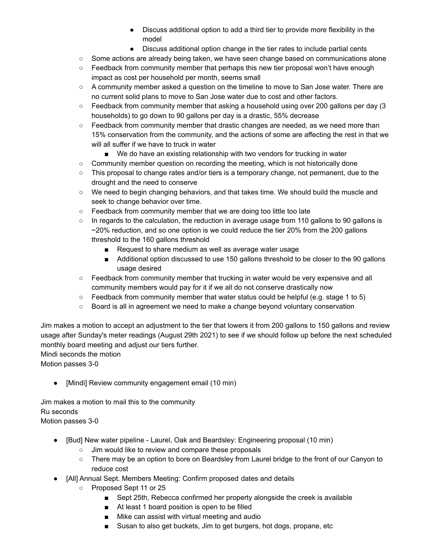- Discuss additional option to add a third tier to provide more flexibility in the model
- Discuss additional option change in the tier rates to include partial cents
- Some actions are already being taken, we have seen change based on communications alone
- Feedback from community member that perhaps this new tier proposal won't have enough impact as cost per household per month, seems small
- A community member asked a question on the timeline to move to San Jose water. There are no current solid plans to move to San Jose water due to cost and other factors.
- $\circ$  Feedback from community member that asking a household using over 200 gallons per day (3) households) to go down to 90 gallons per day is a drastic, 55% decrease
- $\circ$  Feedback from community member that drastic changes are needed, as we need more than 15% conservation from the community, and the actions of some are affecting the rest in that we will all suffer if we have to truck in water
	- We do have an existing relationship with two vendors for trucking in water
- Community member question on recording the meeting, which is not historically done
- This proposal to change rates and/or tiers is a temporary change, not permanent, due to the drought and the need to conserve
- We need to begin changing behaviors, and that takes time. We should build the muscle and seek to change behavior over time.
- Feedback from community member that we are doing too little too late
- In regards to the calculation, the reduction in average usage from 110 gallons to 90 gallons is  $\sim$  20% reduction, and so one option is we could reduce the tier 20% from the 200 gallons threshold to the 160 gallons threshold
	- Request to share medium as well as average water usage
	- Additional option discussed to use 150 gallons threshold to be closer to the 90 gallons usage desired
- Feedback from community member that trucking in water would be very expensive and all community members would pay for it if we all do not conserve drastically now
- $\circ$  Feedback from community member that water status could be helpful (e.g. stage 1 to 5)
- Board is all in agreement we need to make a change beyond voluntary conservation

Jim makes a motion to accept an adjustment to the tier that lowers it from 200 gallons to 150 gallons and review usage after Sunday's meter readings (August 29th 2021) to see if we should follow up before the next scheduled monthly board meeting and adjust our tiers further.

Mindi seconds the motion

Motion passes 3-0

● [Mindi] Review community engagement email (10 min)

Jim makes a motion to mail this to the community Ru seconds Motion passes 3-0

- [Bud] New water pipeline Laurel, Oak and Beardsley: Engineering proposal (10 min)
	- Jim would like to review and compare these proposals
	- There may be an option to bore on Beardsley from Laurel bridge to the front of our Canyon to reduce cost
- [All] Annual Sept. Members Meeting: Confirm proposed dates and details
	- Proposed Sept 11 or 25
		- Sept 25th, Rebecca confirmed her property alongside the creek is available
		- At least 1 board position is open to be filled
		- Mike can assist with virtual meeting and audio
		- Susan to also get buckets, Jim to get burgers, hot dogs, propane, etc